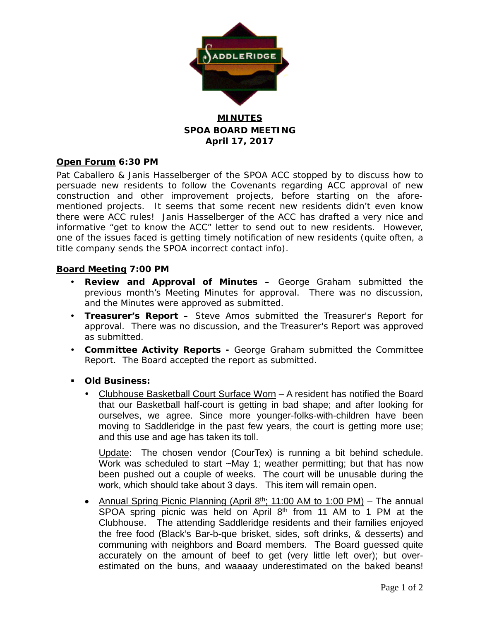

### **MINUTES SPOA BOARD MEETING April 17, 2017**

#### **Open Forum 6:30 PM**

Pat Caballero & Janis Hasselberger of the SPOA ACC stopped by to discuss how to persuade new residents to follow the Covenants regarding ACC approval of new construction and other improvement projects, before starting on the aforementioned projects. It seems that some recent new residents didn't even know there were ACC rules! Janis Hasselberger of the ACC has drafted a very nice and informative "get to know the ACC" letter to send out to new residents. However, one of the issues faced is getting timely notification of new residents (quite often, a title company sends the SPOA incorrect contact info).

#### **Board Meeting 7:00 PM**

- **Review and Approval of Minutes –** George Graham submitted the previous month's Meeting Minutes for approval. There was no discussion, and the Minutes were approved as submitted.
- **Treasurer's Report –** Steve Amos submitted the Treasurer's Report for approval. There was no discussion, and the Treasurer's Report was approved as submitted.
- **Committee Activity Reports -** George Graham submitted the Committee Report. The Board accepted the report as submitted.
- **Old Business:**
	- Clubhouse Basketball Court Surface Worn A resident has notified the Board that our Basketball half-court is getting in bad shape; and after looking for ourselves, we agree. Since more younger-folks-with-children have been moving to Saddleridge in the past few years, the court is getting more use; and this use and age has taken its toll.

Update: The chosen vendor (CourTex) is running a bit behind schedule. Work was scheduled to start ~May 1; weather permitting; but that has now been pushed out a couple of weeks. The court will be unusable during the work, which should take about 3 days. This item will remain open.

• Annual Spring Picnic Planning (April  $8<sup>th</sup>$ ; 11:00 AM to 1:00 PM) – The annual SPOA spring picnic was held on April 8<sup>th</sup> from 11 AM to 1 PM at the Clubhouse. The attending Saddleridge residents and their families enjoyed the free food (Black's Bar-b-que brisket, sides, soft drinks, & desserts) and communing with neighbors and Board members. The Board guessed quite accurately on the amount of beef to get (very little left over); but overestimated on the buns, and waaaay underestimated on the baked beans!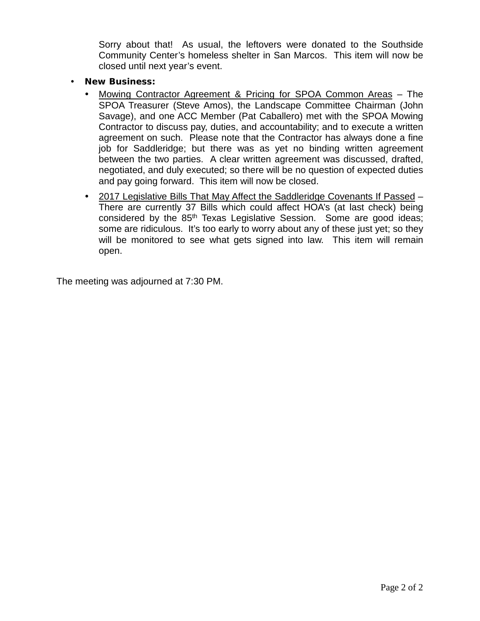Sorry about that! As usual, the leftovers were donated to the Southside Community Center's homeless shelter in San Marcos. This item will now be closed until next year's event.

- **New Business:**
	- Mowing Contractor Agreement & Pricing for SPOA Common Areas The SPOA Treasurer (Steve Amos), the Landscape Committee Chairman (John Savage), and one ACC Member (Pat Caballero) met with the SPOA Mowing Contractor to discuss pay, duties, and accountability; and to execute a written agreement on such. Please note that the Contractor has always done a fine job for Saddleridge; but there was as yet no binding written agreement between the two parties. A clear written agreement was discussed, drafted, negotiated, and duly executed; so there will be no question of expected duties and pay going forward. This item will now be closed.
	- 2017 Legislative Bills That May Affect the Saddleridge Covenants If Passed There are currently 37 Bills which could affect HOA's (at last check) being considered by the 85<sup>th</sup> Texas Legislative Session. Some are good ideas; some are ridiculous. It's too early to worry about any of these just yet; so they will be monitored to see what gets signed into law. This item will remain open.

The meeting was adjourned at 7:30 PM.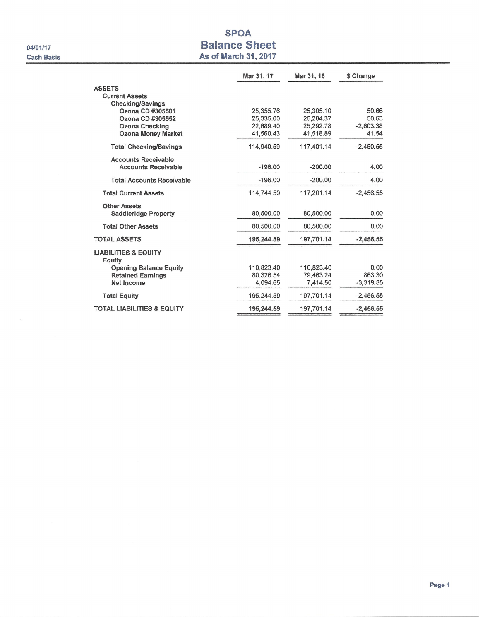04/01/17 **Cash Basis** 

## **SPOA Balance Sheet** As of March 31, 2017

|                                           | Mar 31, 17 | Mar 31, 16 | \$ Change   |
|-------------------------------------------|------------|------------|-------------|
| <b>ASSETS</b>                             |            |            |             |
| <b>Current Assets</b>                     |            |            |             |
| <b>Checking/Savings</b>                   |            |            |             |
| Ozona CD #305501                          | 25,355.76  | 25,305.10  | 50.66       |
| Ozona CD #305552                          | 25,335.00  | 25.284.37  | 50.63       |
| <b>Ozona Checking</b>                     | 22,689.40  | 25,292.78  | $-2.603.38$ |
| <b>Ozona Money Market</b>                 | 41,560.43  | 41,518.89  | 41.54       |
| <b>Total Checking/Savings</b>             | 114.940.59 | 117.401.14 | $-2.460.55$ |
| <b>Accounts Receivable</b>                |            |            |             |
| <b>Accounts Receivable</b>                | $-196.00$  | $-200.00$  | 4.00        |
| <b>Total Accounts Receivable</b>          | $-196.00$  | $-200.00$  | 4.00        |
| <b>Total Current Assets</b>               | 114.744.59 | 117,201.14 | $-2.456.55$ |
| <b>Other Assets</b>                       |            |            |             |
| <b>Saddleridge Property</b>               | 80,500.00  | 80,500.00  | 0.00        |
| <b>Total Other Assets</b>                 | 80,500.00  | 80.500.00  | 0.00        |
| <b>TOTAL ASSETS</b>                       | 195,244.59 | 197,701.14 | $-2,456.55$ |
| <b>LIABILITIES &amp; EQUITY</b><br>Equity |            |            |             |
| <b>Opening Balance Equity</b>             | 110,823.40 | 110,823.40 | 0.00        |
| <b>Retained Earnings</b>                  | 80.326.54  | 79,463.24  | 863.30      |
| Net Income                                | 4.094.65   | 7.414.50   | $-3.319.85$ |
| <b>Total Equity</b>                       | 195,244.59 | 197,701.14 | $-2,456.55$ |
| <b>TOTAL LIABILITIES &amp; EQUITY</b>     | 195,244.59 | 197,701.14 | $-2,456.55$ |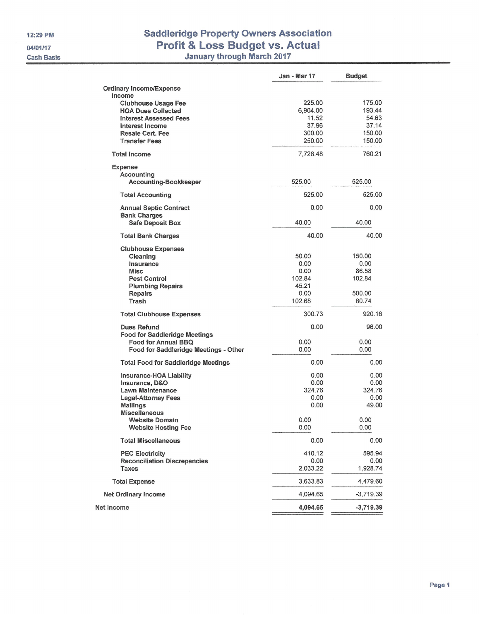12:29 PM

04/01/17

**Cash Basis** 

# **Saddleridge Property Owners Association** Profit & Loss Budget vs. Actual<br>January through March 2017

| <b>Ordinary Income/Expense</b><br>Income<br>225.00<br>175.00<br><b>Clubhouse Usage Fee</b><br>193.44<br><b>HOA Dues Collected</b><br>6,904.00<br>11.52<br>54.63<br><b>Interest Assessed Fees</b><br>37.96<br>37.14<br>Interest Income<br>150.00<br><b>Resale Cert. Fee</b><br>300.00<br>150.00<br><b>Transfer Fees</b><br>250.00<br>760.21<br><b>Total Income</b><br>7,728.48<br><b>Expense</b><br>Accounting<br><b>Accounting-Bookkeeper</b><br>525.00<br>525.00<br>525.00<br>525.00<br><b>Total Accounting</b><br>0.00<br>0.00<br><b>Annual Septic Contract</b><br><b>Bank Charges</b><br>40.00<br>40.00<br><b>Safe Deposit Box</b><br>40.00<br>40.00<br><b>Total Bank Charges</b><br><b>Clubhouse Expenses</b><br>50.00<br>150.00<br>Cleaning<br>0.00<br>0.00<br>Insurance<br>0.00<br>86.58<br><b>Misc</b><br><b>Pest Control</b><br>102.84<br>102.84<br>45.21<br><b>Plumbing Repairs</b><br><b>Repairs</b><br>0.00<br>500.00<br>Trash<br>102.68<br>80.74<br>300.73<br>920.16<br><b>Total Clubhouse Expenses</b><br><b>Dues Refund</b><br>0.00<br>96.00<br><b>Food for Saddleridge Meetings</b><br><b>Food for Annual BBQ</b><br>0.00<br>0.00<br>0.00<br>0.00<br>Food for Saddleridge Meetings - Other<br>0.00<br>0.00<br><b>Total Food for Saddleridge Meetings</b><br>0.00<br>0.00<br>Insurance-HOA Liability<br>0.00<br>0.00<br>Insurance, D&O<br>324.76<br><b>Lawn Maintenance</b><br>324.76<br><b>Legal-Attorney Fees</b><br>0.00<br>0.00<br><b>Mailings</b><br>0.00<br>49.00<br><b>Miscellaneous</b><br>0.00<br>0.00<br><b>Website Domain</b><br><b>Website Hosting Fee</b><br>0.00<br>0.00<br><b>Total Miscellaneous</b><br>0.00<br>0.00<br><b>PEC Electricity</b><br>410.12<br>595.94<br><b>Reconciliation Discrepancies</b><br>0.00<br>0.00<br>2,033.22<br>1,928.74<br><b>Taxes</b><br><b>Total Expense</b><br>3,633.83<br>4,479.60<br>4,094.65<br>$-3,719.39$<br><b>Net Ordinary Income</b><br>4,094.65<br>$-3,719.39$<br>Net Income | <b>Jan - Mar 17</b> | <b>Budget</b> |
|---------------------------------------------------------------------------------------------------------------------------------------------------------------------------------------------------------------------------------------------------------------------------------------------------------------------------------------------------------------------------------------------------------------------------------------------------------------------------------------------------------------------------------------------------------------------------------------------------------------------------------------------------------------------------------------------------------------------------------------------------------------------------------------------------------------------------------------------------------------------------------------------------------------------------------------------------------------------------------------------------------------------------------------------------------------------------------------------------------------------------------------------------------------------------------------------------------------------------------------------------------------------------------------------------------------------------------------------------------------------------------------------------------------------------------------------------------------------------------------------------------------------------------------------------------------------------------------------------------------------------------------------------------------------------------------------------------------------------------------------------------------------------------------------------------------------------------------------------------------------------------------------------------------------------------------------------|---------------------|---------------|
|                                                                                                                                                                                                                                                                                                                                                                                                                                                                                                                                                                                                                                                                                                                                                                                                                                                                                                                                                                                                                                                                                                                                                                                                                                                                                                                                                                                                                                                                                                                                                                                                                                                                                                                                                                                                                                                                                                                                                   |                     |               |
|                                                                                                                                                                                                                                                                                                                                                                                                                                                                                                                                                                                                                                                                                                                                                                                                                                                                                                                                                                                                                                                                                                                                                                                                                                                                                                                                                                                                                                                                                                                                                                                                                                                                                                                                                                                                                                                                                                                                                   |                     |               |
|                                                                                                                                                                                                                                                                                                                                                                                                                                                                                                                                                                                                                                                                                                                                                                                                                                                                                                                                                                                                                                                                                                                                                                                                                                                                                                                                                                                                                                                                                                                                                                                                                                                                                                                                                                                                                                                                                                                                                   |                     |               |
|                                                                                                                                                                                                                                                                                                                                                                                                                                                                                                                                                                                                                                                                                                                                                                                                                                                                                                                                                                                                                                                                                                                                                                                                                                                                                                                                                                                                                                                                                                                                                                                                                                                                                                                                                                                                                                                                                                                                                   |                     |               |
|                                                                                                                                                                                                                                                                                                                                                                                                                                                                                                                                                                                                                                                                                                                                                                                                                                                                                                                                                                                                                                                                                                                                                                                                                                                                                                                                                                                                                                                                                                                                                                                                                                                                                                                                                                                                                                                                                                                                                   |                     |               |
|                                                                                                                                                                                                                                                                                                                                                                                                                                                                                                                                                                                                                                                                                                                                                                                                                                                                                                                                                                                                                                                                                                                                                                                                                                                                                                                                                                                                                                                                                                                                                                                                                                                                                                                                                                                                                                                                                                                                                   |                     |               |
|                                                                                                                                                                                                                                                                                                                                                                                                                                                                                                                                                                                                                                                                                                                                                                                                                                                                                                                                                                                                                                                                                                                                                                                                                                                                                                                                                                                                                                                                                                                                                                                                                                                                                                                                                                                                                                                                                                                                                   |                     |               |
|                                                                                                                                                                                                                                                                                                                                                                                                                                                                                                                                                                                                                                                                                                                                                                                                                                                                                                                                                                                                                                                                                                                                                                                                                                                                                                                                                                                                                                                                                                                                                                                                                                                                                                                                                                                                                                                                                                                                                   |                     |               |
|                                                                                                                                                                                                                                                                                                                                                                                                                                                                                                                                                                                                                                                                                                                                                                                                                                                                                                                                                                                                                                                                                                                                                                                                                                                                                                                                                                                                                                                                                                                                                                                                                                                                                                                                                                                                                                                                                                                                                   |                     |               |
|                                                                                                                                                                                                                                                                                                                                                                                                                                                                                                                                                                                                                                                                                                                                                                                                                                                                                                                                                                                                                                                                                                                                                                                                                                                                                                                                                                                                                                                                                                                                                                                                                                                                                                                                                                                                                                                                                                                                                   |                     |               |
|                                                                                                                                                                                                                                                                                                                                                                                                                                                                                                                                                                                                                                                                                                                                                                                                                                                                                                                                                                                                                                                                                                                                                                                                                                                                                                                                                                                                                                                                                                                                                                                                                                                                                                                                                                                                                                                                                                                                                   |                     |               |
|                                                                                                                                                                                                                                                                                                                                                                                                                                                                                                                                                                                                                                                                                                                                                                                                                                                                                                                                                                                                                                                                                                                                                                                                                                                                                                                                                                                                                                                                                                                                                                                                                                                                                                                                                                                                                                                                                                                                                   |                     |               |
|                                                                                                                                                                                                                                                                                                                                                                                                                                                                                                                                                                                                                                                                                                                                                                                                                                                                                                                                                                                                                                                                                                                                                                                                                                                                                                                                                                                                                                                                                                                                                                                                                                                                                                                                                                                                                                                                                                                                                   |                     |               |
|                                                                                                                                                                                                                                                                                                                                                                                                                                                                                                                                                                                                                                                                                                                                                                                                                                                                                                                                                                                                                                                                                                                                                                                                                                                                                                                                                                                                                                                                                                                                                                                                                                                                                                                                                                                                                                                                                                                                                   |                     |               |
|                                                                                                                                                                                                                                                                                                                                                                                                                                                                                                                                                                                                                                                                                                                                                                                                                                                                                                                                                                                                                                                                                                                                                                                                                                                                                                                                                                                                                                                                                                                                                                                                                                                                                                                                                                                                                                                                                                                                                   |                     |               |
|                                                                                                                                                                                                                                                                                                                                                                                                                                                                                                                                                                                                                                                                                                                                                                                                                                                                                                                                                                                                                                                                                                                                                                                                                                                                                                                                                                                                                                                                                                                                                                                                                                                                                                                                                                                                                                                                                                                                                   |                     |               |
|                                                                                                                                                                                                                                                                                                                                                                                                                                                                                                                                                                                                                                                                                                                                                                                                                                                                                                                                                                                                                                                                                                                                                                                                                                                                                                                                                                                                                                                                                                                                                                                                                                                                                                                                                                                                                                                                                                                                                   |                     |               |